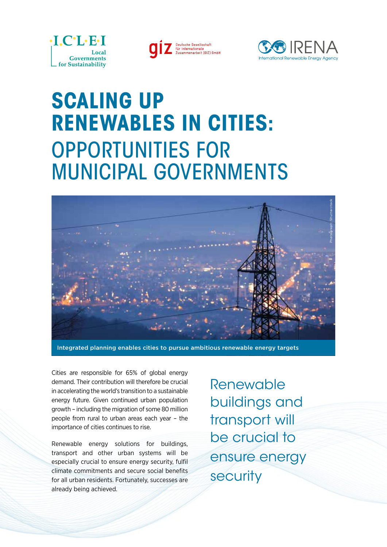

Deutsche Gesellschaft<br>für Internationale<br>Zusammenarbeit (GIZ) GmbH



## **SCALING UP RENEWABLES IN CITIES:**  OPPORTUNITIES FOR MUNICIPAL GOVERNMENTS



Integrated planning enables cities to pursue ambitious renewable energy targets

Cities are responsible for 65% of global energy demand. Their contribution will therefore be crucial in accelerating the world's transition to a sustainable energy future. Given continued urban population growth – including the migration of some 80 million people from rural to urban areas each year – the importance of cities continues to rise.

Renewable energy solutions for buildings, transport and other urban systems will be especially crucial to ensure energy security, fulfil climate commitments and secure social benefits for all urban residents. Fortunately, successes are already being achieved.

Renewable buildings and transport will be crucial to ensure energy security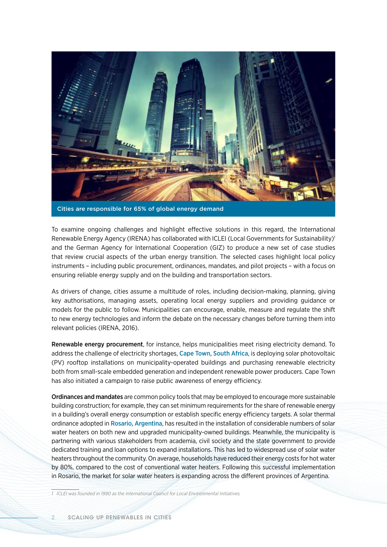

Cities are responsible for 65% of global energy demand

To examine ongoing challenges and highlight effective solutions in this regard, the International Renewable Energy Agency (IRENA) has collaborated with ICLEI (Local Governments for Sustainability)<sup>1</sup> and the German Agency for International Cooperation (GIZ) to produce a new set of case studies that review crucial aspects of the urban energy transition. The selected cases highlight local policy instruments – including public procurement, ordinances, mandates, and pilot projects – with a focus on ensuring reliable energy supply and on the building and transportation sectors.

As drivers of change, cities assume a multitude of roles, including decision-making, planning, giving key authorisations, managing assets, operating local energy suppliers and providing guidance or models for the public to follow. Municipalities can encourage, enable, measure and regulate the shift to new energy technologies and inform the debate on the necessary changes before turning them into relevant policies (IRENA, 2016).

Renewable energy procurement, for instance, helps municipalities meet rising electricity demand. To address the challenge of electricity shortages, Cape Town, South Africa, is deploying solar photovoltaic (PV) rooftop installations on municipality-operated buildings and purchasing renewable electricity both from small-scale embedded generation and independent renewable power producers. Cape Town has also initiated a campaign to raise public awareness of energy efficiency.

Ordinances and mandates are common policy tools that may be employed to encourage more sustainable building construction; for example, they can set minimum requirements for the share of renewable energy in a building's overall energy consumption or establish specific energy efficiency targets. A solar thermal ordinance adopted in Rosario, Argentina, has resulted in the installation of considerable numbers of solar water heaters on both new and upgraded municipality-owned buildings. Meanwhile, the municipality is partnering with various stakeholders from academia, civil society and the state government to provide dedicated training and loan options to expand installations. This has led to widespread use of solar water heaters throughout the community. On average, households have reduced their energy costs for hot water by 80%, compared to the cost of conventional water heaters. Following this successful implementation in Rosario, the market for solar water heaters is expanding across the different provinces of Argentina.

*1 ICLEI was founded in 1990 as the International Council for Local Environmental Initiatives.*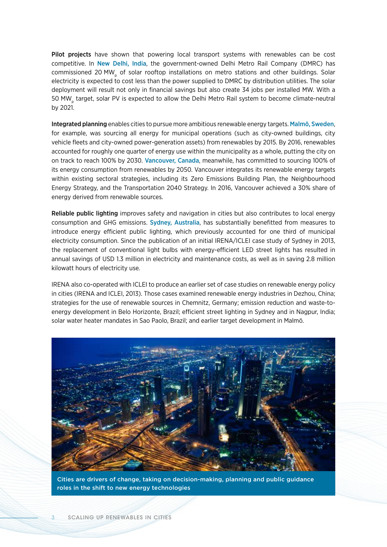Pilot projects have shown that powering local transport systems with renewables can be cost competitive. In New Delhi, India, the government-owned Delhi Metro Rail Company (DMRC) has commissioned 20 MW<sub>p</sub> of solar rooftop installations on metro stations and other buildings. Solar electricity is expected to cost less than the power supplied to DMRC by distribution utilities. The solar deployment will result not only in financial savings but also create 34 jobs per installed MW. With a 50 MW<sub>p</sub> target, solar PV is expected to allow the Delhi Metro Rail system to become climate-neutral by 2021.

Integrated planning enables cities to pursue more ambitious renewable energy targets. Malmö, Sweden, for example, was sourcing all energy for municipal operations (such as city-owned buildings, city vehicle fleets and city-owned power-generation assets) from renewables by 2015. By 2016, renewables accounted for roughly one quarter of energy use within the municipality as a whole, putting the city on on track to reach 100% by 2030. Vancouver, Canada, meanwhile, has committed to sourcing 100% of its energy consumption from renewables by 2050. Vancouver integrates its renewable energy targets within existing sectoral strategies, including its Zero Emissions Building Plan, the Neighbourhood Energy Strategy, and the Transportation 2040 Strategy. In 2016, Vancouver achieved a 30% share of energy derived from renewable sources.

Reliable public lighting improves safety and navigation in cities but also contributes to local energy consumption and GHG emissions. Sydney, Australia, has substantially benefitted from measures to introduce energy efficient public lighting, which previously accounted for one third of municipal electricity consumption. Since the publication of an initial IRENA/ICLEI case study of Sydney in 2013, the replacement of conventional light bulbs with energy-efficient LED street lights has resulted in annual savings of USD 1.3 million in electricity and maintenance costs, as well as in saving 2.8 million kilowatt hours of electricity use.

IRENA also co-operated with ICLEI to produce an earlier set of case studies on renewable energy policy in cities (IRENA and ICLEI, 2013). Those cases examined renewable energy industries in Dezhou, China; strategies for the use of renewable sources in Chemnitz, Germany; emission reduction and waste-toenergy development in Belo Horizonte, Brazil; efficient street lighting in Sydney and in Nagpur, India; solar water heater mandates in Sao Paolo, Brazil; and earlier target development in Malmö.



Cities are drivers of change, taking on decision-making, planning and public guidance roles in the shift to new energy technologies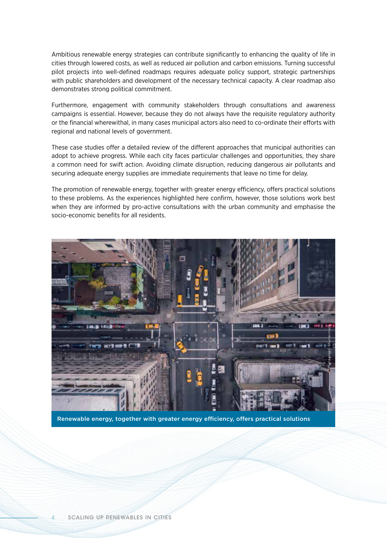Ambitious renewable energy strategies can contribute significantly to enhancing the quality of life in cities through lowered costs, as well as reduced air pollution and carbon emissions. Turning successful pilot projects into well-defined roadmaps requires adequate policy support, strategic partnerships with public shareholders and development of the necessary technical capacity. A clear roadmap also demonstrates strong political commitment.

Furthermore, engagement with community stakeholders through consultations and awareness campaigns is essential. However, because they do not always have the requisite regulatory authority or the financial wherewithal, in many cases municipal actors also need to co-ordinate their efforts with regional and national levels of government.

These case studies offer a detailed review of the different approaches that municipal authorities can adopt to achieve progress. While each city faces particular challenges and opportunities, they share a common need for swift action. Avoiding climate disruption, reducing dangerous air pollutants and securing adequate energy supplies are immediate requirements that leave no time for delay.

The promotion of renewable energy, together with greater energy efficiency, offers practical solutions to these problems. As the experiences highlighted here confirm, however, those solutions work best when they are informed by pro-active consultations with the urban community and emphasise the socio-economic benefits for all residents.



Renewable energy, together with greater energy efficiency, offers practical solutions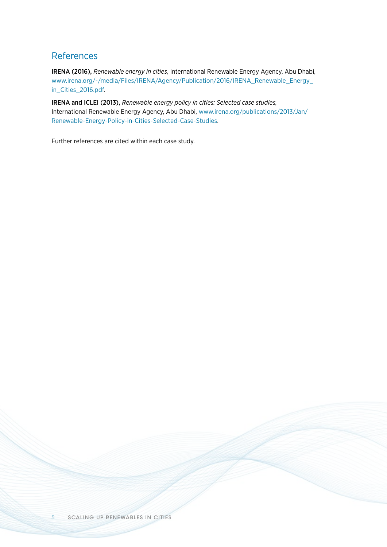## References

IRENA (2016), *Renewable energy in cities*, International Renewable Energy Agency, Abu Dhabi, [www.irena.org/-/media/Files/IRENA/Agency/Publication/2016/IRENA\\_Renewable\\_Energy\\_](http://www.irena.org/-/media/Files/IRENA/Agency/Publication/2016/IRENA_Renewable_Energy_in_Cities_2016.pdf) [in\\_Cities\\_2016.pdf](http://www.irena.org/-/media/Files/IRENA/Agency/Publication/2016/IRENA_Renewable_Energy_in_Cities_2016.pdf).

IRENA and ICLEI (2013), *Renewable energy policy in cities: Selected case studies,* International Renewable Energy Agency, Abu Dhabi, [www.irena.org/publications/2013/Jan/](http://www.irena.org/publications/2013/Jan/Renewable-Energy-Policy-in-Cities-Selected-Case-Studies) [Renewable-Energy-Policy-in-Cities-Selected-Case-Studies](http://www.irena.org/publications/2013/Jan/Renewable-Energy-Policy-in-Cities-Selected-Case-Studies).

Further references are cited within each case study.